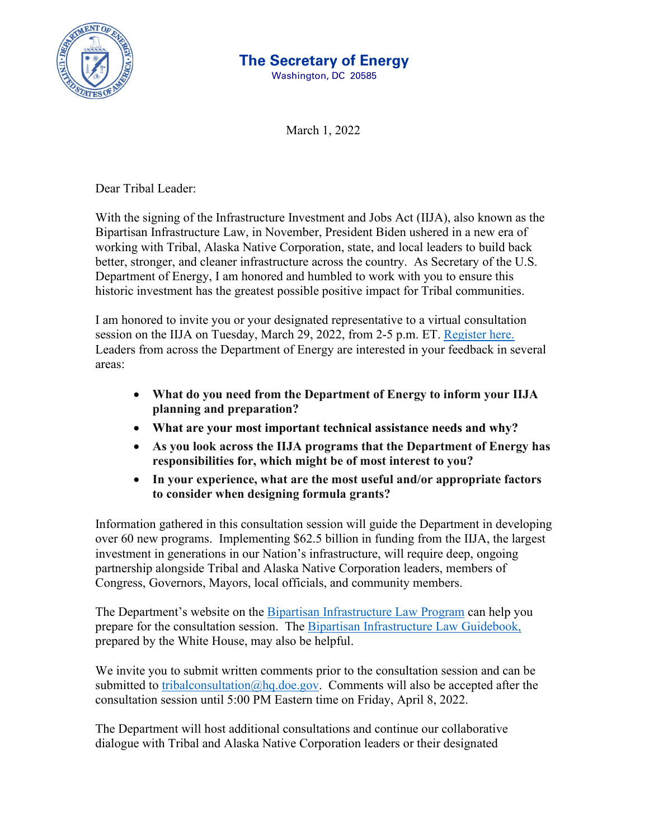

## **The Secretary of Energy**

Washington, DC 20585

March 1, 2022

Dear Tribal Leader:

With the signing of the Infrastructure Investment and Jobs Act (IIJA), also known as the Bipartisan Infrastructure Law, in November, President Biden ushered in a new era of working with Tribal, Alaska Native Corporation, state, and local leaders to build back better, stronger, and cleaner infrastructure across the country. As Secretary of the U.S. Department of Energy, I am honored and humbled to work with you to ensure this historic investment has the greatest possible positive impact for Tribal communities.

I am honored to invite you or your designated representative to a virtual consultation session on the IIJA on Tuesday, March 29, 2022, from 2-5 p.m. ET. [Register here.](https://nrel.zoomgov.com/meeting/register/vJIsde2rrDsoGGKCo98fLqzpD99E-Vmzzww) Leaders from across the Department of Energy are interested in your feedback in several areas:

- **What do you need from the Department of Energy to inform your IIJA planning and preparation?**
- **What are your most important technical assistance needs and why?**
- **As you look across the IIJA programs that the Department of Energy has responsibilities for, which might be of most interest to you?**
- **In your experience, what are the most useful and/or appropriate factors to consider when designing formula grants?**

Information gathered in this consultation session will guide the Department in developing over 60 new programs. Implementing \$62.5 billion in funding from the IIJA, the largest investment in generations in our Nation's infrastructure, will require deep, ongoing partnership alongside Tribal and Alaska Native Corporation leaders, members of Congress, Governors, Mayors, local officials, and community members.

The Department's website on the [Bipartisan Infrastructure Law Program](https://www.energy.gov/bil/bipartisan-infrastructure-law-programs) can help you prepare for the consultation session. The [Bipartisan Infrastructure Law Guidebook,](https://www.whitehouse.gov/wp-content/uploads/2022/01/BUILDING-A-BETTER-AMERICA_FINAL.pdf) prepared by the White House, may also be helpful.

We invite you to submit written comments prior to the consultation session and can be submitted to [tribalconsultation@hq.doe.gov.](mailto:tribalconsultation@hq.doe.gov) Comments will also be accepted after the consultation session until 5:00 PM Eastern time on Friday, April 8, 2022.

The Department will host additional consultations and continue our collaborative dialogue with Tribal and Alaska Native Corporation leaders or their designated